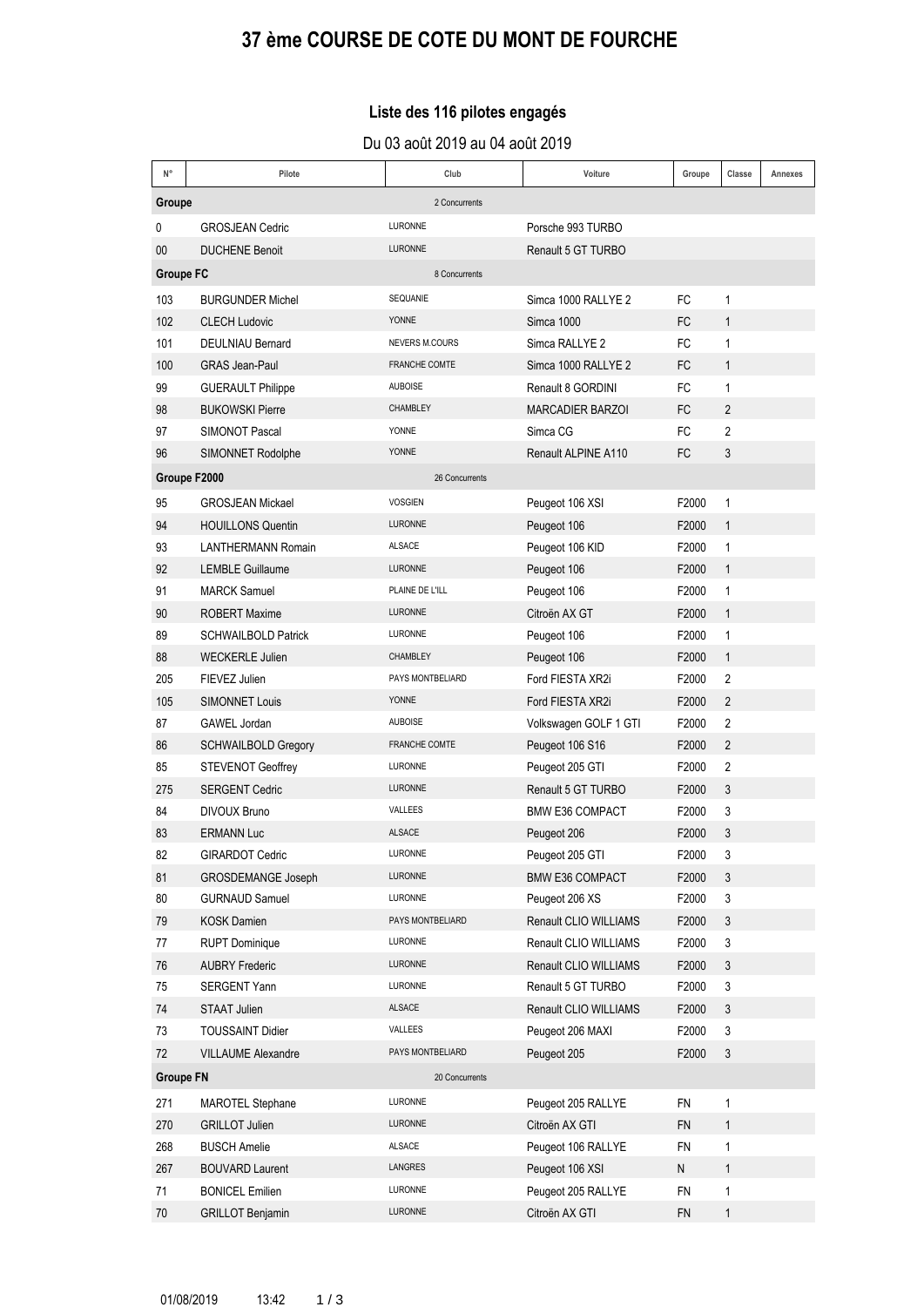# **37 Ëme COURSE DE COTE DU MONT DE FOURCHE**

### Liste des 116 pilotes engagés

Du 03 août 2019 au 04 août 2019

| $\mathsf{N}^\circ$      | Pilote                                                 | Club                 | Voiture                            | Groupe         | Classe                         | Annexes |  |
|-------------------------|--------------------------------------------------------|----------------------|------------------------------------|----------------|--------------------------------|---------|--|
| Groupe<br>2 Concurrents |                                                        |                      |                                    |                |                                |         |  |
| 0                       | <b>GROSJEAN Cedric</b>                                 | <b>LURONNE</b>       | Porsche 993 TURBO                  |                |                                |         |  |
| 00                      | <b>DUCHENE Benoit</b>                                  | <b>LURONNE</b>       | Renault 5 GT TURBO                 |                |                                |         |  |
| <b>Groupe FC</b>        |                                                        | 8 Concurrents        |                                    |                |                                |         |  |
| 103                     | <b>BURGUNDER Michel</b>                                | SEQUANIE             | Simca 1000 RALLYE 2                | FC             | $\mathbf{1}$                   |         |  |
| 102                     | <b>CLECH Ludovic</b>                                   | <b>YONNE</b>         | Simca 1000                         | <b>FC</b>      | $\mathbf{1}$                   |         |  |
| 101                     | <b>DEULNIAU Bernard</b>                                | NEVERS M.COURS       | Simca RALLYE 2                     | FC             | $\mathbf{1}$                   |         |  |
| 100                     | <b>GRAS Jean-Paul</b>                                  | FRANCHE COMTE        | Simca 1000 RALLYE 2                | FC             | $\mathbf{1}$                   |         |  |
| 99                      | <b>GUERAULT Philippe</b>                               | <b>AUBOISE</b>       | Renault 8 GORDINI                  | FC             | 1                              |         |  |
| 98                      | <b>BUKOWSKI Pierre</b>                                 | CHAMBLEY             | <b>MARCADIER BARZOI</b>            | <b>FC</b>      | $\overline{2}$                 |         |  |
| 97                      | <b>SIMONOT Pascal</b>                                  | <b>YONNE</b>         | Simca CG                           | FC             | 2                              |         |  |
| 96                      | SIMONNET Rodolphe                                      | <b>YONNE</b>         | Renault ALPINE A110                | FC             | 3                              |         |  |
| Groupe F2000            |                                                        | 26 Concurrents       |                                    |                |                                |         |  |
|                         |                                                        | <b>VOSGIEN</b>       |                                    |                |                                |         |  |
| 95                      | <b>GROSJEAN Mickael</b>                                | <b>LURONNE</b>       | Peugeot 106 XSI                    | F2000          | $\mathbf{1}$                   |         |  |
| 94<br>93                | <b>HOUILLONS Quentin</b>                               | <b>ALSACE</b>        | Peugeot 106                        | F2000          | $\mathbf{1}$                   |         |  |
|                         | <b>LANTHERMANN Romain</b>                              | <b>LURONNE</b>       | Peugeot 106 KID                    | F2000          | $\mathbf{1}$                   |         |  |
| 92                      | <b>LEMBLE Guillaume</b><br><b>MARCK Samuel</b>         | PLAINE DE L'ILL      | Peugeot 106                        | F2000          | $\mathbf{1}$                   |         |  |
| 91                      |                                                        | <b>LURONNE</b>       | Peugeot 106                        | F2000          | $\mathbf{1}$                   |         |  |
| 90<br>89                | <b>ROBERT Maxime</b><br><b>SCHWAILBOLD Patrick</b>     | LURONNE              | Citroën AX GT                      | F2000          | $\mathbf{1}$<br>$\mathbf{1}$   |         |  |
|                         |                                                        | <b>CHAMBLEY</b>      | Peugeot 106                        | F2000          |                                |         |  |
| 88                      | <b>WECKERLE Julien</b>                                 | PAYS MONTBELIARD     | Peugeot 106                        | F2000          | $\mathbf{1}$<br>$\overline{2}$ |         |  |
| 205                     | FIEVEZ Julien                                          | <b>YONNE</b>         | Ford FIESTA XR2i                   | F2000          | $\overline{2}$                 |         |  |
| 105<br>87               | <b>SIMONNET Louis</b><br>GAWEL Jordan                  | <b>AUBOISE</b>       | Ford FIESTA XR2i                   | F2000<br>F2000 | 2                              |         |  |
| 86                      |                                                        | <b>FRANCHE COMTE</b> | Volkswagen GOLF 1 GTI              |                | $\overline{2}$                 |         |  |
| 85                      | <b>SCHWAILBOLD Gregory</b><br><b>STEVENOT Geoffrey</b> | <b>LURONNE</b>       | Peugeot 106 S16<br>Peugeot 205 GTI | F2000<br>F2000 | $\overline{2}$                 |         |  |
| 275                     | <b>SERGENT Cedric</b>                                  | <b>LURONNE</b>       | Renault 5 GT TURBO                 | F2000          | 3                              |         |  |
| 84                      | <b>DIVOUX Bruno</b>                                    | VALLEES              | <b>BMW E36 COMPACT</b>             | F2000          | 3                              |         |  |
| 83                      | <b>ERMANN Luc</b>                                      | <b>ALSACE</b>        | Peugeot 206                        | F2000          | 3                              |         |  |
| 82                      | <b>GIRARDOT Cedric</b>                                 | <b>LURONNE</b>       | Peugeot 205 GTI                    | F2000          | 3                              |         |  |
| 81                      | GROSDEMANGE Joseph                                     | LURONNE              | <b>BMW E36 COMPACT</b>             | F2000          | 3                              |         |  |
| 80                      | <b>GURNAUD Samuel</b>                                  | LURONNE              | Peugeot 206 XS                     | F2000          | 3                              |         |  |
| 79                      | <b>KOSK Damien</b>                                     | PAYS MONTBELIARD     | Renault CLIO WILLIAMS              | F2000          | 3                              |         |  |
| 77                      | <b>RUPT Dominique</b>                                  | LURONNE              | Renault CLIO WILLIAMS              | F2000          | 3                              |         |  |
| 76                      | <b>AUBRY Frederic</b>                                  | LURONNE              | Renault CLIO WILLIAMS              | F2000          | 3                              |         |  |
| 75                      | SERGENT Yann                                           | LURONNE              | Renault 5 GT TURBO                 | F2000          | $\ensuremath{\mathsf{3}}$      |         |  |
| 74                      | <b>STAAT Julien</b>                                    | ALSACE               | Renault CLIO WILLIAMS              | F2000          | 3                              |         |  |
| 73                      | <b>TOUSSAINT Didier</b>                                | VALLEES              | Peugeot 206 MAXI                   | F2000          | 3                              |         |  |
| 72                      | <b>VILLAUME Alexandre</b>                              | PAYS MONTBELIARD     | Peugeot 205                        | F2000          | 3                              |         |  |
| <b>Groupe FN</b>        |                                                        | 20 Concurrents       |                                    |                |                                |         |  |
| 271                     | <b>MAROTEL Stephane</b>                                | LURONNE              | Peugeot 205 RALLYE                 | FN             | $\mathbf{1}$                   |         |  |
| 270                     | <b>GRILLOT Julien</b>                                  | LURONNE              | Citroën AX GTI                     | <b>FN</b>      | $\mathbf{1}$                   |         |  |
| 268                     | <b>BUSCH Amelie</b>                                    | ALSACE               | Peugeot 106 RALLYE                 | FN             | $\mathbf{1}$                   |         |  |
| 267                     | <b>BOUVARD Laurent</b>                                 | LANGRES              | Peugeot 106 XSI                    | N              | $\mathbf{1}$                   |         |  |
| 71                      | <b>BONICEL Emilien</b>                                 | LURONNE              | Peugeot 205 RALLYE                 | <b>FN</b>      | 1                              |         |  |
| 70                      | <b>GRILLOT Benjamin</b>                                | LURONNE              | Citroën AX GTI                     | <b>FN</b>      | $\mathbf{1}$                   |         |  |
|                         |                                                        |                      |                                    |                |                                |         |  |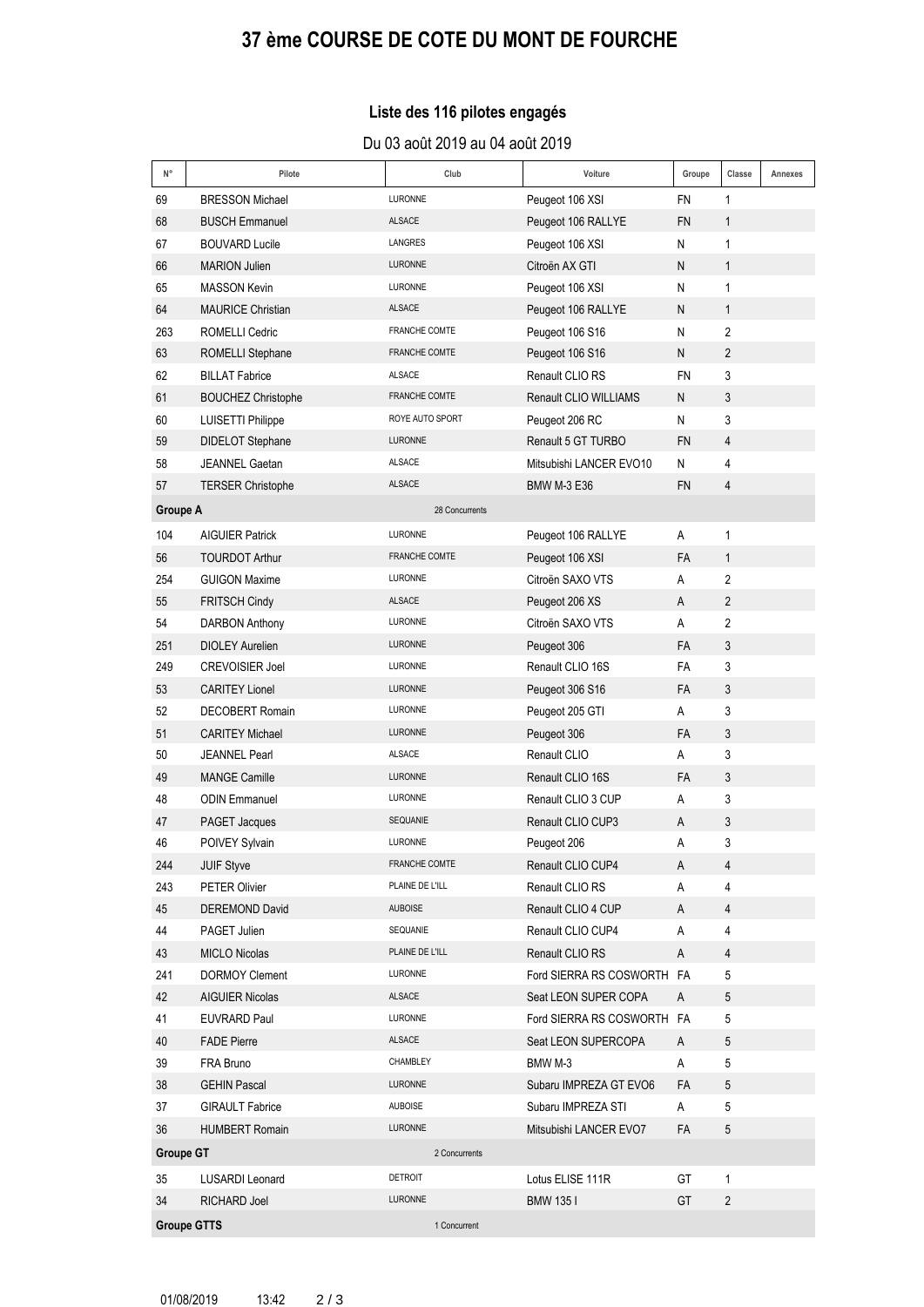# **37 Ëme COURSE DE COTE DU MONT DE FOURCHE**

### Liste des 116 pilotes engagés

#### Du 03 août 2019 au 04 août 2019

| N°                                | Pilote                    | Club                 | Voiture                    | Groupe    | Classe          | Annexes |
|-----------------------------------|---------------------------|----------------------|----------------------------|-----------|-----------------|---------|
| 69                                | <b>BRESSON Michael</b>    | LURONNE              | Peugeot 106 XSI            | <b>FN</b> | 1               |         |
| 68                                | <b>BUSCH Emmanuel</b>     | <b>ALSACE</b>        | Peugeot 106 RALLYE         | <b>FN</b> | $\mathbf{1}$    |         |
| 67                                | <b>BOUVARD Lucile</b>     | LANGRES              | Peugeot 106 XSI            | N         | 1               |         |
| 66                                | <b>MARION Julien</b>      | LURONNE              | Citroën AX GTI             | N         | $\mathbf{1}$    |         |
| 65                                | <b>MASSON Kevin</b>       | LURONNE              | Peugeot 106 XSI            | N         | 1               |         |
| 64                                | <b>MAURICE Christian</b>  | <b>ALSACE</b>        | Peugeot 106 RALLYE         | N         | $\mathbf{1}$    |         |
| 263                               | <b>ROMELLI Cedric</b>     | <b>FRANCHE COMTE</b> | Peugeot 106 S16            | N         | $\overline{2}$  |         |
| 63                                | ROMELLI Stephane          | <b>FRANCHE COMTE</b> | Peugeot 106 S16            | N         | $\overline{2}$  |         |
| 62                                | <b>BILLAT Fabrice</b>     | <b>ALSACE</b>        | Renault CLIO RS            | <b>FN</b> | 3               |         |
| 61                                | <b>BOUCHEZ Christophe</b> | <b>FRANCHE COMTE</b> | Renault CLIO WILLIAMS      | N         | 3               |         |
| 60                                | <b>LUISETTI Philippe</b>  | ROYE AUTO SPORT      | Peugeot 206 RC             | Ν         | 3               |         |
| 59                                | <b>DIDELOT Stephane</b>   | LURONNE              | Renault 5 GT TURBO         | <b>FN</b> | 4               |         |
| 58                                | JEANNEL Gaetan            | <b>ALSACE</b>        | Mitsubishi LANCER EVO10    | N         | 4               |         |
| 57                                | <b>TERSER Christophe</b>  | <b>ALSACE</b>        | <b>BMW M-3 E36</b>         | <b>FN</b> | 4               |         |
| <b>Groupe A</b>                   |                           | 28 Concurrents       |                            |           |                 |         |
| 104                               | <b>AIGUIER Patrick</b>    | LURONNE              | Peugeot 106 RALLYE         | A         | 1               |         |
| 56                                | <b>TOURDOT Arthur</b>     | <b>FRANCHE COMTE</b> | Peugeot 106 XSI            | FA        | $\mathbf{1}$    |         |
| 254                               | <b>GUIGON Maxime</b>      | <b>LURONNE</b>       | Citroën SAXO VTS           | A         | $\overline{2}$  |         |
| 55                                | <b>FRITSCH Cindy</b>      | <b>ALSACE</b>        | Peugeot 206 XS             | A         | $\overline{2}$  |         |
| 54                                | <b>DARBON Anthony</b>     | LURONNE              | Citroën SAXO VTS           | A         | 2               |         |
| 251                               | <b>DIOLEY Aurelien</b>    | LURONNE              | Peugeot 306                | FA        | 3               |         |
| 249                               | <b>CREVOISIER Joel</b>    | LURONNE              | Renault CLIO 16S           | FA        | 3               |         |
| 53                                | <b>CARITEY Lionel</b>     | LURONNE              | Peugeot 306 S16            | <b>FA</b> | 3               |         |
| 52                                | <b>DECOBERT Romain</b>    | LURONNE              | Peugeot 205 GTI            | A         | 3               |         |
| 51                                | <b>CARITEY Michael</b>    | LURONNE              | Peugeot 306                | FA        | 3               |         |
| 50                                | <b>JEANNEL Pearl</b>      | <b>ALSACE</b>        | Renault CLIO               | A         | 3               |         |
| 49                                | <b>MANGE Camille</b>      | LURONNE              | Renault CLIO 16S           | FA        | 3               |         |
| 48                                | <b>ODIN Emmanuel</b>      | <b>LURONNE</b>       | Renault CLIO 3 CUP         | A         | 3               |         |
| 47                                | PAGET Jacques             | SEQUANIE             | Renault CLIO CUP3          | A         | 3               |         |
| 46                                | <b>POIVEY Sylvain</b>     | LURONNE              | Peugeot 206                | A         | 3               |         |
| 244                               | JUIF Styve                | FRANCHE COMTE        | Renault CLIO CUP4          | A         | 4               |         |
| 243                               | <b>PETER Olivier</b>      | PLAINE DE L'ILL      | Renault CLIO RS            | Α         | 4               |         |
| 45                                | <b>DEREMOND David</b>     | <b>AUBOISE</b>       | Renault CLIO 4 CUP         | A         | 4               |         |
| 44                                | PAGET Julien              | SEQUANIE             | Renault CLIO CUP4          | Α         | 4               |         |
| 43                                | <b>MICLO Nicolas</b>      | PLAINE DE L'ILL      | Renault CLIO RS            | A         | 4               |         |
| 241                               | <b>DORMOY Clement</b>     | LURONNE              | Ford SIERRA RS COSWORTH FA |           | 5               |         |
| 42                                | <b>AIGUIER Nicolas</b>    | ALSACE               | Seat LEON SUPER COPA       | A         | 5               |         |
| 41                                | <b>EUVRARD Paul</b>       | LURONNE              | Ford SIERRA RS COSWORTH FA |           | 5               |         |
| 40                                | <b>FADE Pierre</b>        | ALSACE               | Seat LEON SUPERCOPA        | A         | $\mathbf 5$     |         |
| 39                                | FRA Bruno                 | CHAMBLEY             | BMW M-3                    | A         | 5               |         |
| 38                                | <b>GEHIN Pascal</b>       | LURONNE              | Subaru IMPREZA GT EVO6     | FA        | $5\phantom{.0}$ |         |
| 37                                | <b>GIRAULT Fabrice</b>    | <b>AUBOISE</b>       | Subaru IMPREZA STI         | A         | 5               |         |
| 36                                | <b>HUMBERT Romain</b>     | LURONNE              | Mitsubishi LANCER EVO7     | FA        | 5               |         |
| <b>Groupe GT</b><br>2 Concurrents |                           |                      |                            |           |                 |         |
| 35                                | <b>LUSARDI Leonard</b>    | <b>DETROIT</b>       | Lotus ELISE 111R           | GT        | 1               |         |
| 34                                | RICHARD Joel              | LURONNE              | <b>BMW 1351</b>            | GT        | $\overline{2}$  |         |
|                                   | <b>Groupe GTTS</b>        | 1 Concurrent         |                            |           |                 |         |